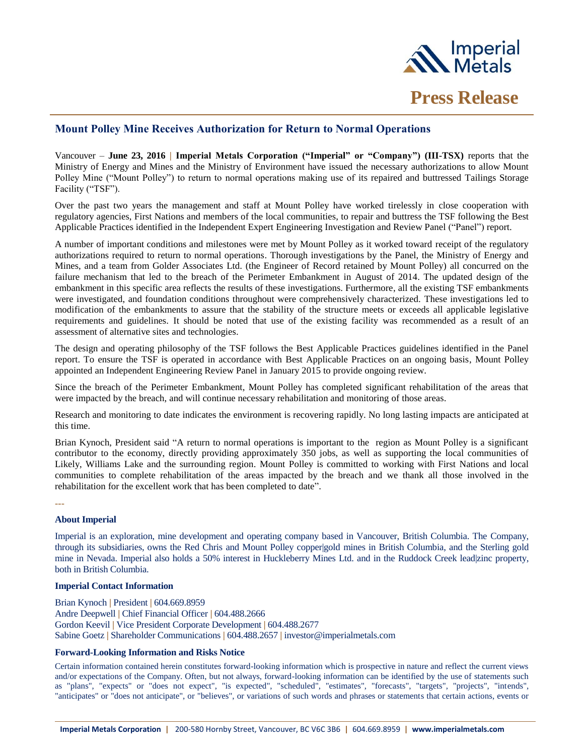

# **Mount Polley Mine Receives Authorization for Return to Normal Operations**

Vancouver – **June 23, 2016 | Imperial Metals Corporation ("Imperial" or "Company") (III-TSX)** reports that the Ministry of Energy and Mines and the Ministry of Environment have issued the necessary authorizations to allow Mount Polley Mine ("Mount Polley") to return to normal operations making use of its repaired and buttressed Tailings Storage Facility ("TSF").

Over the past two years the management and staff at Mount Polley have worked tirelessly in close cooperation with regulatory agencies, First Nations and members of the local communities, to repair and buttress the TSF following the Best Applicable Practices identified in the Independent Expert Engineering Investigation and Review Panel ("Panel") report.

A number of important conditions and milestones were met by Mount Polley as it worked toward receipt of the regulatory authorizations required to return to normal operations. Thorough investigations by the Panel, the Ministry of Energy and Mines, and a team from Golder Associates Ltd. (the Engineer of Record retained by Mount Polley) all concurred on the failure mechanism that led to the breach of the Perimeter Embankment in August of 2014. The updated design of the embankment in this specific area reflects the results of these investigations. Furthermore, all the existing TSF embankments were investigated, and foundation conditions throughout were comprehensively characterized. These investigations led to modification of the embankments to assure that the stability of the structure meets or exceeds all applicable legislative requirements and guidelines. It should be noted that use of the existing facility was recommended as a result of an assessment of alternative sites and technologies.

The design and operating philosophy of the TSF follows the Best Applicable Practices guidelines identified in the Panel report. To ensure the TSF is operated in accordance with Best Applicable Practices on an ongoing basis, Mount Polley appointed an Independent Engineering Review Panel in January 2015 to provide ongoing review.

Since the breach of the Perimeter Embankment, Mount Polley has completed significant rehabilitation of the areas that were impacted by the breach, and will continue necessary rehabilitation and monitoring of those areas.

Research and monitoring to date indicates the environment is recovering rapidly. No long lasting impacts are anticipated at this time.

Brian Kynoch, President said "A return to normal operations is important to the region as Mount Polley is a significant contributor to the economy, directly providing approximately 350 jobs, as well as supporting the local communities of Likely, Williams Lake and the surrounding region. Mount Polley is committed to working with First Nations and local communities to complete rehabilitation of the areas impacted by the breach and we thank all those involved in the rehabilitation for the excellent work that has been completed to date".

### **---**

## **About Imperial**

Imperial is an exploration, mine development and operating company based in Vancouver, British Columbia. The Company, through its subsidiaries, owns the Red Chris and Mount Polley copper|gold mines in British Columbia, and the Sterling gold mine in Nevada. Imperial also holds a 50% interest in Huckleberry Mines Ltd. and in the Ruddock Creek lead|zinc property, both in British Columbia.

## **Imperial Contact Information**

Brian Kynoch **|** President **|** 604.669.8959 Andre Deepwell **|** Chief Financial Officer **|** 604.488.2666 Gordon Keevil **|** Vice President Corporate Development **|** 604.488.2677 Sabine Goetz **|** Shareholder Communications **|** 604.488.2657 **|** investor@imperialmetals.com

## **Forward-Looking Information and Risks Notice**

Certain information contained herein constitutes forward-looking information which is prospective in nature and reflect the current views and/or expectations of the Company. Often, but not always, forward-looking information can be identified by the use of statements such as "plans", "expects" or "does not expect", "is expected", "scheduled", "estimates", "forecasts", "targets", "projects", "intends", "anticipates" or "does not anticipate", or "believes", or variations of such words and phrases or statements that certain actions, events or